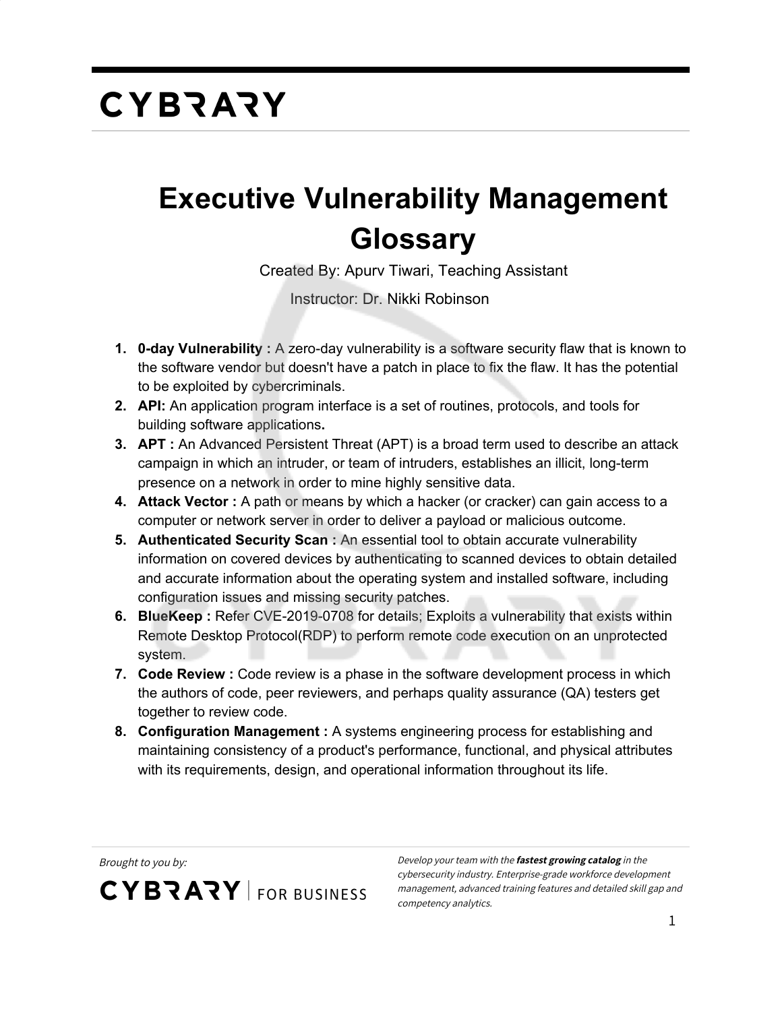#### **Executive Vulnerability Management Glossary**

Created By: Apurv Tiwari, Teaching Assistant

Instructor: Dr. Nikki Robinson

- **1. 0-day Vulnerability :** A zero-day vulnerability is a software security flaw that is known to the software vendor but doesn't have a patch in place to fix the flaw. It has the potential to be exploited by cybercriminals.
- **2. API:** An application program interface is a set of routines, protocols, and tools for building software applications**.**
- **3. APT :** An Advanced Persistent Threat (APT) is a broad term used to describe an attack campaign in which an intruder, or team of intruders, establishes an illicit, long-term presence on a network in order to mine highly sensitive data.
- **4. Attack Vector :** A path or means by which a hacker (or cracker) can gain access to a computer or network server in order to deliver a payload or malicious outcome.
- **5. Authenticated Security Scan :** An essential tool to obtain accurate vulnerability information on covered devices by authenticating to scanned devices to obtain detailed and accurate information about the operating system and installed software, including configuration issues and missing security patches.
- **6. BlueKeep :** Refer CVE-2019-0708 for details; Exploits a vulnerability that exists within Remote Desktop Protocol(RDP) to perform remote code execution on an unprotected system.
- **7. Code Review :** Code review is a phase in the software development process in which the authors of code, peer reviewers, and perhaps quality assurance (QA) testers get together to review code.
- **8. Configuration Management :** A systems engineering process for establishing and maintaining consistency of a product's performance, functional, and physical attributes with its requirements, design, and operational information throughout its life.

**CYBRARY** FOR BUSINESS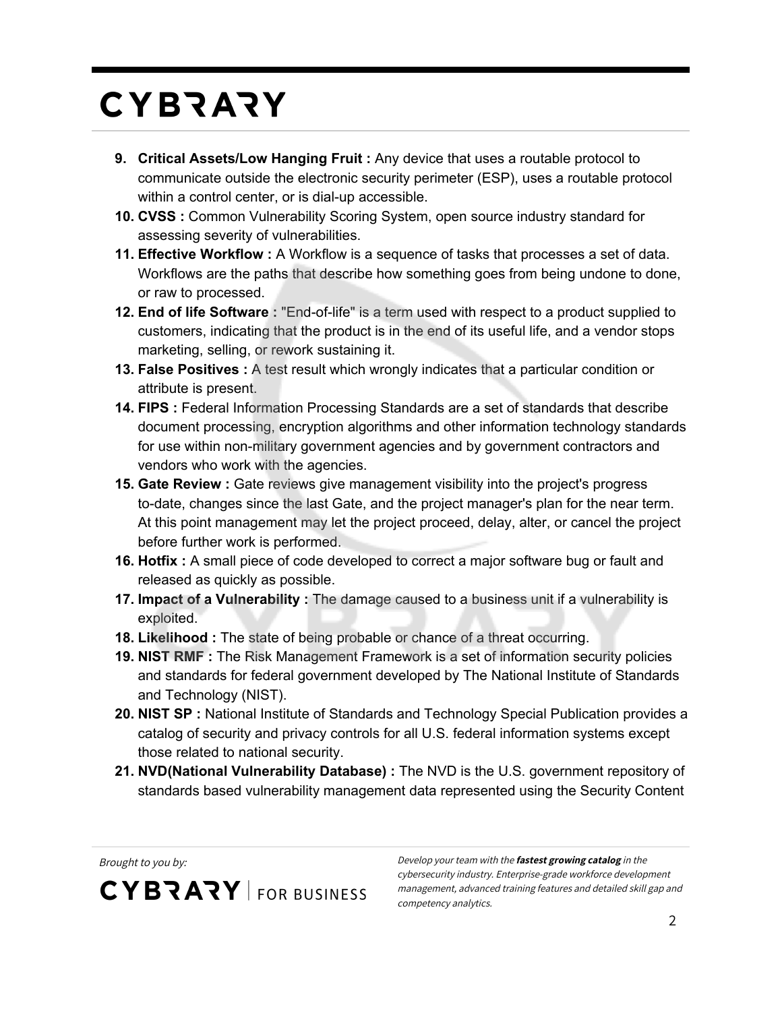- **9. Critical Assets/Low Hanging Fruit :** Any device that uses a routable protocol to communicate outside the electronic security perimeter (ESP), uses a routable protocol within a control center, or is dial-up accessible.
- **10. CVSS :** Common Vulnerability Scoring System, open source industry standard for assessing severity of vulnerabilities.
- **11. Effective Workflow :** A Workflow is a sequence of tasks that processes a set of data. Workflows are the paths that describe how something goes from being undone to done, or raw to processed.
- **12. End of life Software :** "End-of-life" is a term used with respect to a product supplied to customers, indicating that the product is in the end of its useful life, and a vendor stops marketing, selling, or rework sustaining it.
- **13. False Positives :** A test result which wrongly indicates that a particular condition or attribute is present.
- **14. FIPS :** Federal Information Processing Standards are a set of standards that describe document processing, encryption algorithms and other information technology standards for use within non-military government agencies and by government contractors and vendors who work with the agencies.
- **15. Gate Review :** Gate reviews give management visibility into the project's progress to-date, changes since the last Gate, and the project manager's plan for the near term. At this point management may let the project proceed, delay, alter, or cancel the project before further work is performed.
- **16. Hotfix :** A small piece of code developed to correct a major software bug or fault and released as quickly as possible.
- **17. Impact of a Vulnerability :** The damage caused to a business unit if a vulnerability is exploited.
- **18. Likelihood :** The state of being probable or chance of a threat occurring.
- **19. NIST RMF :** The Risk Management Framework is a set of information security policies and standards for federal government developed by The National Institute of Standards and Technology (NIST).
- **20. NIST SP :** National Institute of Standards and Technology Special Publication provides a catalog of security and privacy controls for all U.S. federal information systems except those related to national security.
- **21. NVD(National Vulnerability Database) :** The NVD is the U.S. government repository of standards based vulnerability management data represented using the Security Content

**CYBRARY** FOR BUSINESS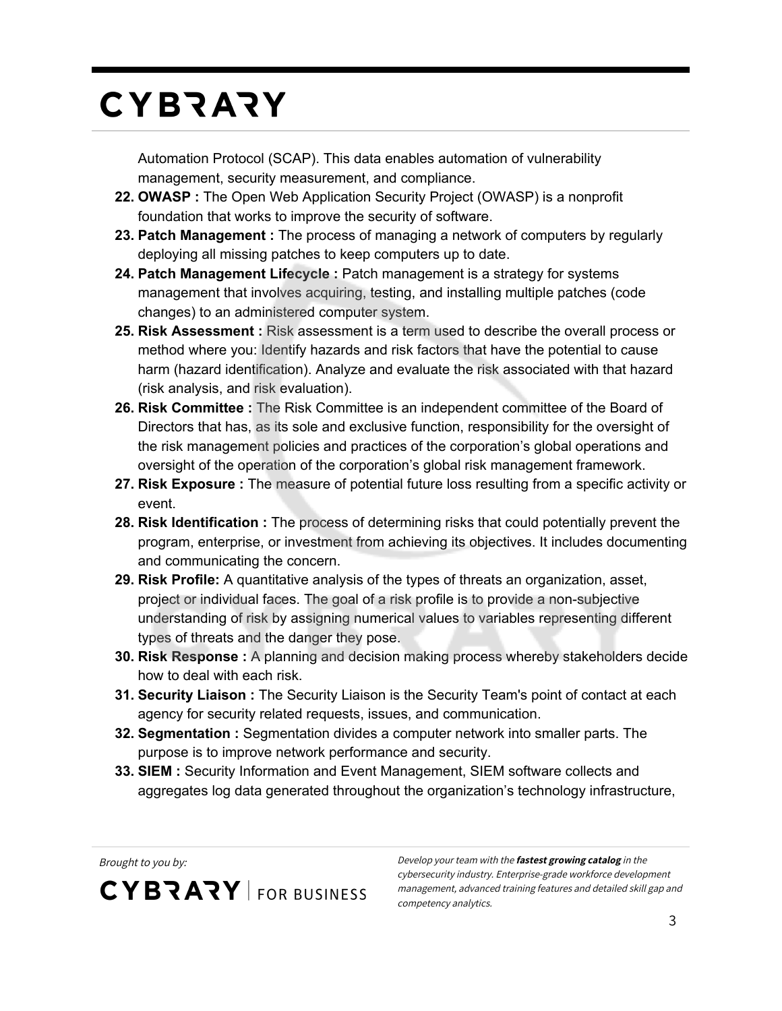Automation Protocol (SCAP). This data enables automation of vulnerability management, security measurement, and compliance.

- **22. OWASP :** The Open Web Application Security Project (OWASP) is a nonprofit foundation that works to improve the security of software.
- **23. Patch Management :** The process of managing a network of computers by regularly deploying all missing patches to keep computers up to date.
- **24. Patch Management Lifecycle :** Patch management is a strategy for systems management that involves acquiring, testing, and installing multiple patches (code changes) to an administered computer system.
- **25. Risk Assessment :** Risk assessment is a term used to describe the overall process or method where you: Identify hazards and risk factors that have the potential to cause harm (hazard identification). Analyze and evaluate the risk associated with that hazard (risk analysis, and risk evaluation).
- **26. Risk Committee :** The Risk Committee is an independent committee of the Board of Directors that has, as its sole and exclusive function, responsibility for the oversight of the risk management policies and practices of the corporation's global operations and oversight of the operation of the corporation's global risk management framework.
- **27. Risk Exposure :** The measure of potential future loss resulting from a specific activity or event.
- **28. Risk Identification :** The process of determining risks that could potentially prevent the program, enterprise, or investment from achieving its objectives. It includes documenting and communicating the concern.
- **29. Risk Profile:** A quantitative analysis of the types of threats an organization, asset, project or individual faces. The goal of a risk profile is to provide a non-subjective understanding of risk by assigning numerical values to variables representing different types of threats and the danger they pose.
- **30. Risk Response :** A planning and decision making process whereby stakeholders decide how to deal with each risk.
- **31. Security Liaison :** The Security Liaison is the Security Team's point of contact at each agency for security related requests, issues, and communication.
- **32. Segmentation :** Segmentation divides a computer network into smaller parts. The purpose is to improve network performance and security.
- **33. SIEM :** Security Information and Event Management, SIEM software collects and aggregates log data generated throughout the organization's technology infrastructure,

**CYBRARY** FOR BUSINESS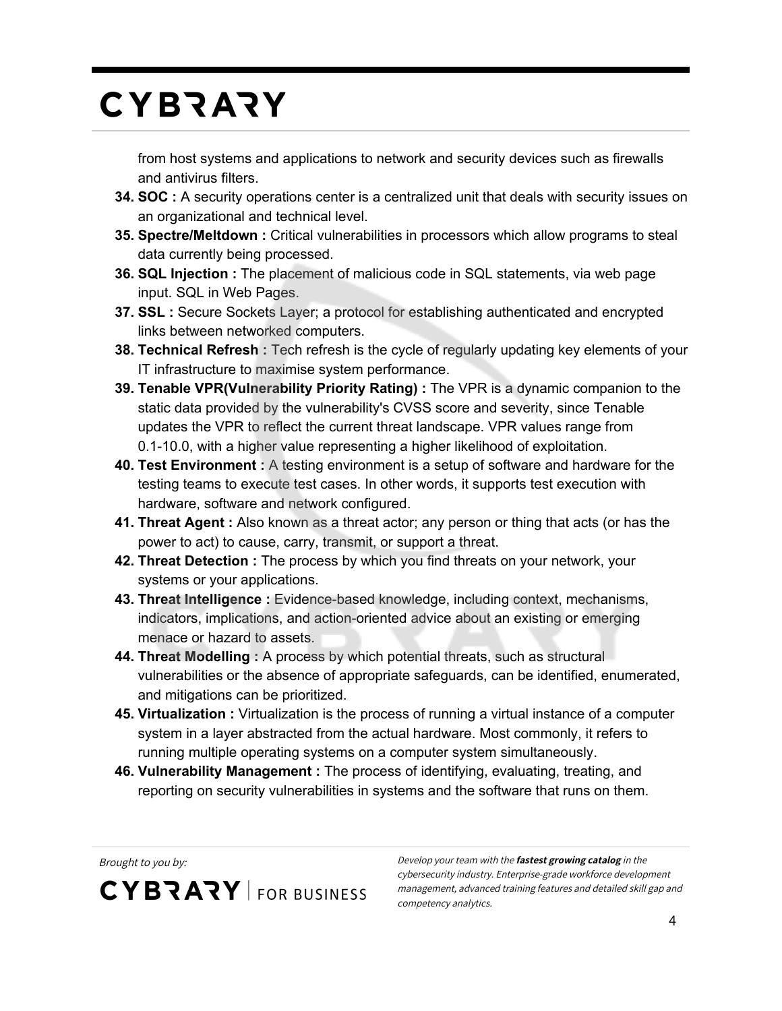from host systems and applications to network and security devices such as firewalls and antivirus filters.

- **34. SOC :** A security operations center is a centralized unit that deals with security issues on an organizational and technical level.
- **35. Spectre/Meltdown :** Critical vulnerabilities in processors which allow programs to steal data currently being processed.
- **36. SQL Injection :** The placement of malicious code in SQL statements, via web page input. SQL in Web Pages.
- **37. SSL :** Secure Sockets Layer; a protocol for establishing authenticated and encrypted links between networked computers.
- **38. Technical Refresh :** Tech refresh is the cycle of regularly updating key elements of your IT infrastructure to maximise system performance.
- **39. Tenable VPR(Vulnerability Priority Rating) :** The VPR is a dynamic companion to the static data provided by the vulnerability's CVSS score and severity, since Tenable updates the VPR to reflect the current threat landscape. VPR values range from 0.1-10.0, with a higher value representing a higher likelihood of exploitation.
- **40. Test Environment :** A testing environment is a setup of software and hardware for the testing teams to execute test cases. In other words, it supports test execution with hardware, software and network configured.
- **41. Threat Agent :** Also known as a threat actor; any person or thing that acts (or has the power to act) to cause, carry, transmit, or support a threat.
- **42. Threat Detection :** The process by which you find threats on your network, your systems or your applications.
- **43. Threat Intelligence :** Evidence-based knowledge, including context, mechanisms, indicators, implications, and action-oriented advice about an existing or emerging menace or hazard to assets.
- **44. Threat Modelling :** A process by which potential threats, such as structural vulnerabilities or the absence of appropriate safeguards, can be identified, enumerated, and mitigations can be prioritized.
- **45. Virtualization :** Virtualization is the process of running a virtual instance of a computer system in a layer abstracted from the actual hardware. Most commonly, it refers to running multiple operating systems on a computer system simultaneously.
- **46. Vulnerability Management :** The process of identifying, evaluating, treating, and reporting on security vulnerabilities in systems and the software that runs on them.

**CYBRARY** FOR BUSINESS